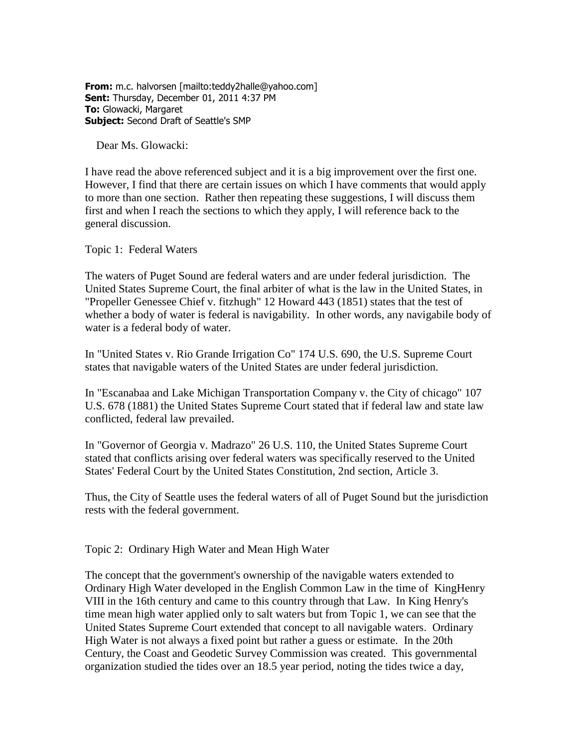**From:** m.c. halvorsen [mailto:teddy2halle@yahoo.com] **Sent:** Thursday, December 01, 2011 4:37 PM **To:** Glowacki, Margaret **Subject:** Second Draft of Seattle's SMP

Dear Ms. Glowacki:

I have read the above referenced subject and it is a big improvement over the first one. However, I find that there are certain issues on which I have comments that would apply to more than one section. Rather then repeating these suggestions, I will discuss them first and when I reach the sections to which they apply, I will reference back to the general discussion.

Topic 1: Federal Waters

The waters of Puget Sound are federal waters and are under federal jurisdiction. The United States Supreme Court, the final arbiter of what is the law in the United States, in "Propeller Genessee Chief v. fitzhugh" 12 Howard 443 (1851) states that the test of whether a body of water is federal is navigability. In other words, any navigabile body of water is a federal body of water.

In "United States v. Rio Grande Irrigation Co" 174 U.S. 690, the U.S. Supreme Court states that navigable waters of the United States are under federal jurisdiction.

In "Escanabaa and Lake Michigan Transportation Company v. the City of chicago" 107 U.S. 678 (1881) the United States Supreme Court stated that if federal law and state law conflicted, federal law prevailed.

In "Governor of Georgia v. Madrazo" 26 U.S. 110, the United States Supreme Court stated that conflicts arising over federal waters was specifically reserved to the United States' Federal Court by the United States Constitution, 2nd section, Article 3.

Thus, the City of Seattle uses the federal waters of all of Puget Sound but the jurisdiction rests with the federal government.

Topic 2: Ordinary High Water and Mean High Water

The concept that the government's ownership of the navigable waters extended to Ordinary High Water developed in the English Common Law in the time of KingHenry VIII in the 16th century and came to this country through that Law. In King Henry's time mean high water applied only to salt waters but from Topic 1, we can see that the United States Supreme Court extended that concept to all navigable waters. Ordinary High Water is not always a fixed point but rather a guess or estimate. In the 20th Century, the Coast and Geodetic Survey Commission was created. This governmental organization studied the tides over an 18.5 year period, noting the tides twice a day,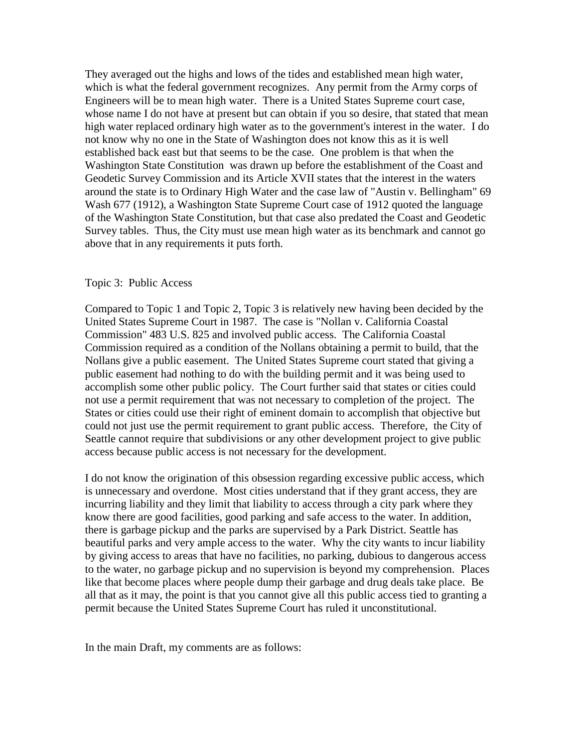They averaged out the highs and lows of the tides and established mean high water, which is what the federal government recognizes. Any permit from the Army corps of Engineers will be to mean high water. There is a United States Supreme court case, whose name I do not have at present but can obtain if you so desire, that stated that mean high water replaced ordinary high water as to the government's interest in the water. I do not know why no one in the State of Washington does not know this as it is well established back east but that seems to be the case. One problem is that when the Washington State Constitution was drawn up before the establishment of the Coast and Geodetic Survey Commission and its Article XVII states that the interest in the waters around the state is to Ordinary High Water and the case law of "Austin v. Bellingham" 69 Wash 677 (1912), a Washington State Supreme Court case of 1912 quoted the language of the Washington State Constitution, but that case also predated the Coast and Geodetic Survey tables. Thus, the City must use mean high water as its benchmark and cannot go above that in any requirements it puts forth.

## Topic 3: Public Access

Compared to Topic 1 and Topic 2, Topic 3 is relatively new having been decided by the United States Supreme Court in 1987. The case is "Nollan v. California Coastal Commission" 483 U.S. 825 and involved public access. The California Coastal Commission required as a condition of the Nollans obtaining a permit to build, that the Nollans give a public easement. The United States Supreme court stated that giving a public easement had nothing to do with the building permit and it was being used to accomplish some other public policy. The Court further said that states or cities could not use a permit requirement that was not necessary to completion of the project. The States or cities could use their right of eminent domain to accomplish that objective but could not just use the permit requirement to grant public access. Therefore, the City of Seattle cannot require that subdivisions or any other development project to give public access because public access is not necessary for the development.

I do not know the origination of this obsession regarding excessive public access, which is unnecessary and overdone. Most cities understand that if they grant access, they are incurring liability and they limit that liability to access through a city park where they know there are good facilities, good parking and safe access to the water. In addition, there is garbage pickup and the parks are supervised by a Park District. Seattle has beautiful parks and very ample access to the water. Why the city wants to incur liability by giving access to areas that have no facilities, no parking, dubious to dangerous access to the water, no garbage pickup and no supervision is beyond my comprehension. Places like that become places where people dump their garbage and drug deals take place. Be all that as it may, the point is that you cannot give all this public access tied to granting a permit because the United States Supreme Court has ruled it unconstitutional.

In the main Draft, my comments are as follows: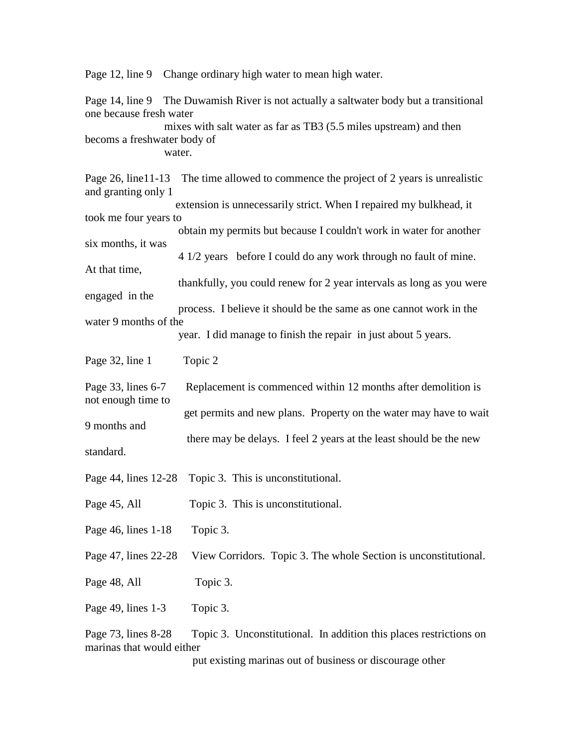Page 12, line 9 Change ordinary high water to mean high water.

Page 14, line 9 The Duwamish River is not actually a saltwater body but a transitional one because fresh water mixes with salt water as far as TB3 (5.5 miles upstream) and then becoms a freshwater body of water.

Page 26, line11-13 The time allowed to commence the project of 2 years is unrealistic and granting only 1 extension is unnecessarily strict. When I repaired my bulkhead, it took me four years to obtain my permits but because I couldn't work in water for another six months, it was 4 1/2 years before I could do any work through no fault of mine. At that time, thankfully, you could renew for 2 year intervals as long as you were engaged in the process. I believe it should be the same as one cannot work in the water 9 months of the year. I did manage to finish the repair in just about 5 years. Page 32, line 1 Topic 2 Page 33, lines 6-7 Replacement is commenced within 12 months after demolition is not enough time to get permits and new plans. Property on the water may have to wait 9 months and there may be delays. I feel 2 years at the least should be the new standard. Page 44, lines 12-28 Topic 3. This is unconstitutional. Page 45, All Topic 3. This is unconstitutional. Page 46, lines 1-18 Topic 3. Page 47, lines 22-28 View Corridors. Topic 3. The whole Section is unconstitutional. Page 48, All Topic 3. Page 49, lines 1-3 Topic 3.

Page 73, lines 8-28 Topic 3. Unconstitutional. In addition this places restrictions on marinas that would either

put existing marinas out of business or discourage other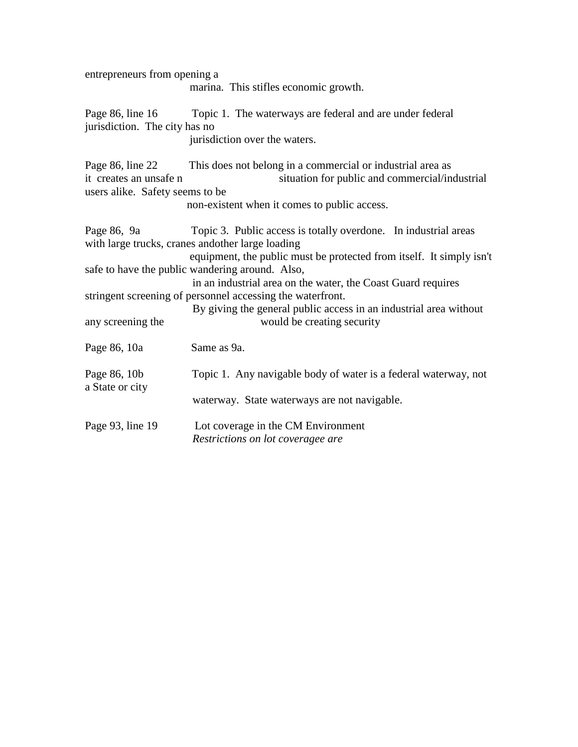| entrepreneurs from opening a                                                  | marina. This stifles economic growth.                                                                                                                                                                                                                                                                                                                                                                                                                                           |
|-------------------------------------------------------------------------------|---------------------------------------------------------------------------------------------------------------------------------------------------------------------------------------------------------------------------------------------------------------------------------------------------------------------------------------------------------------------------------------------------------------------------------------------------------------------------------|
| jurisdiction. The city has no                                                 | Page 86, line 16 Topic 1. The waterways are federal and are under federal<br>jurisdiction over the waters.                                                                                                                                                                                                                                                                                                                                                                      |
| Page 86, line 22<br>it creates an unsafe n<br>users alike. Safety seems to be | This does not belong in a commercial or industrial area as<br>situation for public and commercial/industrial<br>non-existent when it comes to public access.                                                                                                                                                                                                                                                                                                                    |
| Page 86, 9a<br>any screening the                                              | Topic 3. Public access is totally overdone. In industrial areas<br>with large trucks, cranes andother large loading<br>equipment, the public must be protected from itself. It simply isn't<br>safe to have the public wandering around. Also,<br>in an industrial area on the water, the Coast Guard requires<br>stringent screening of personnel accessing the waterfront.<br>By giving the general public access in an industrial area without<br>would be creating security |
| Page 86, 10a                                                                  | Same as 9a.                                                                                                                                                                                                                                                                                                                                                                                                                                                                     |
| Page 86, 10b<br>a State or city                                               | Topic 1. Any navigable body of water is a federal waterway, not<br>waterway. State waterways are not navigable.                                                                                                                                                                                                                                                                                                                                                                 |
| Page 93, line 19                                                              | Lot coverage in the CM Environment<br>Restrictions on lot coveragee are                                                                                                                                                                                                                                                                                                                                                                                                         |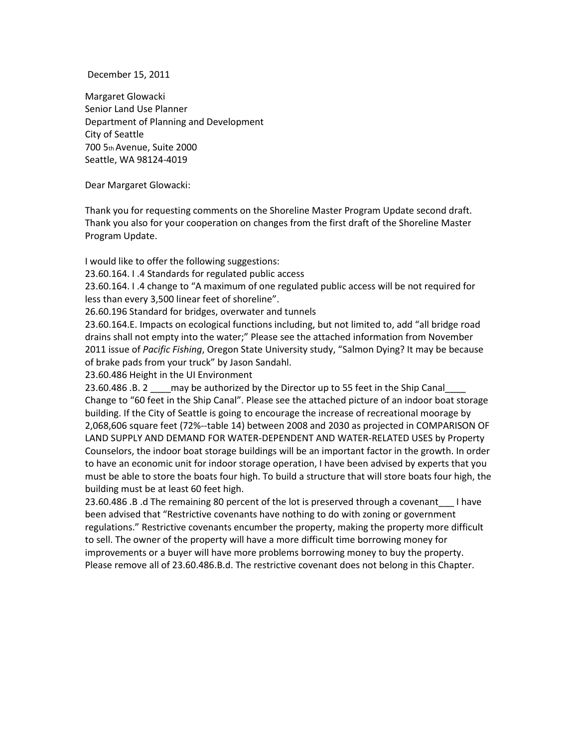December 15, 2011

Margaret Glowacki Senior Land Use Planner Department of Planning and Development City of Seattle 700 5th Avenue, Suite 2000 Seattle, WA 98124-4019

Dear Margaret Glowacki:

Thank you for requesting comments on the Shoreline Master Program Update second draft. Thank you also for your cooperation on changes from the first draft of the Shoreline Master Program Update.

I would like to offer the following suggestions:

23.60.164. I .4 Standards for regulated public access

23.60.164. I .4 change to "A maximum of one regulated public access will be not required for less than every 3,500 linear feet of shoreline".

26.60.196 Standard for bridges, overwater and tunnels

23.60.164.E. Impacts on ecological functions including, but not limited to, add "all bridge road drains shall not empty into the water;" Please see the attached information from November 2011 issue of *Pacific Fishing*, Oregon State University study, "Salmon Dying? It may be because of brake pads from your truck" by Jason Sandahl.

23.60.486 Height in the UI Environment

23.60.486 .B. 2 \_\_\_\_ may be authorized by the Director up to 55 feet in the Ship Canal Change to "60 feet in the Ship Canal". Please see the attached picture of an indoor boat storage building. If the City of Seattle is going to encourage the increase of recreational moorage by 2,068,606 square feet (72%--table 14) between 2008 and 2030 as projected in COMPARISON OF LAND SUPPLY AND DEMAND FOR WATER-DEPENDENT AND WATER-RELATED USES by Property Counselors, the indoor boat storage buildings will be an important factor in the growth. In order to have an economic unit for indoor storage operation, I have been advised by experts that you must be able to store the boats four high. To build a structure that will store boats four high, the building must be at least 60 feet high.

23.60.486 .B .d The remaining 80 percent of the lot is preserved through a covenant\_\_\_ I have been advised that "Restrictive covenants have nothing to do with zoning or government regulations." Restrictive covenants encumber the property, making the property more difficult to sell. The owner of the property will have a more difficult time borrowing money for improvements or a buyer will have more problems borrowing money to buy the property. Please remove all of 23.60.486.B.d. The restrictive covenant does not belong in this Chapter.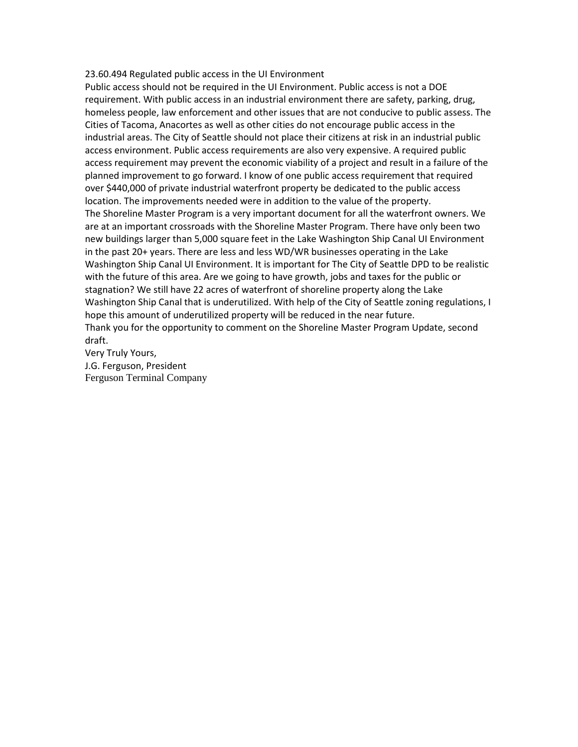## 23.60.494 Regulated public access in the UI Environment

Public access should not be required in the UI Environment. Public access is not a DOE requirement. With public access in an industrial environment there are safety, parking, drug, homeless people, law enforcement and other issues that are not conducive to public assess. The Cities of Tacoma, Anacortes as well as other cities do not encourage public access in the industrial areas. The City of Seattle should not place their citizens at risk in an industrial public access environment. Public access requirements are also very expensive. A required public access requirement may prevent the economic viability of a project and result in a failure of the planned improvement to go forward. I know of one public access requirement that required over \$440,000 of private industrial waterfront property be dedicated to the public access location. The improvements needed were in addition to the value of the property. The Shoreline Master Program is a very important document for all the waterfront owners. We are at an important crossroads with the Shoreline Master Program. There have only been two new buildings larger than 5,000 square feet in the Lake Washington Ship Canal UI Environment in the past 20+ years. There are less and less WD/WR businesses operating in the Lake Washington Ship Canal UI Environment. It is important for The City of Seattle DPD to be realistic with the future of this area. Are we going to have growth, jobs and taxes for the public or stagnation? We still have 22 acres of waterfront of shoreline property along the Lake Washington Ship Canal that is underutilized. With help of the City of Seattle zoning regulations, I hope this amount of underutilized property will be reduced in the near future. Thank you for the opportunity to comment on the Shoreline Master Program Update, second draft.

Very Truly Yours, J.G. Ferguson, President Ferguson Terminal Company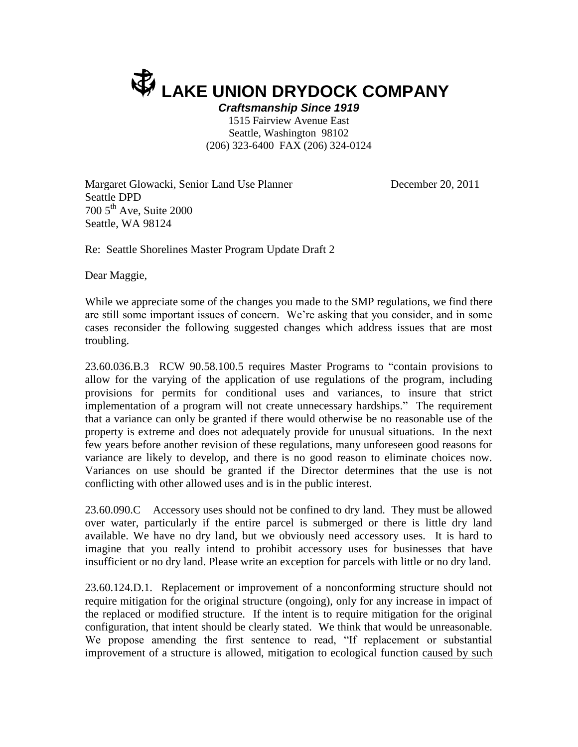## **LAKE UNION DRYDOCK COMPANY**

*Craftsmanship Since 1919* 1515 Fairview Avenue East Seattle, Washington 98102 (206) 323-6400 FAX (206) 324-0124

Margaret Glowacki, Senior Land Use Planner **December 20, 2011** Seattle DPD 700 5th Ave, Suite 2000 Seattle, WA 98124

Re: Seattle Shorelines Master Program Update Draft 2

Dear Maggie,

While we appreciate some of the changes you made to the SMP regulations, we find there are still some important issues of concern. We're asking that you consider, and in some cases reconsider the following suggested changes which address issues that are most troubling.

23.60.036.B.3 RCW 90.58.100.5 requires Master Programs to "contain provisions to allow for the varying of the application of use regulations of the program, including provisions for permits for conditional uses and variances, to insure that strict implementation of a program will not create unnecessary hardships." The requirement that a variance can only be granted if there would otherwise be no reasonable use of the property is extreme and does not adequately provide for unusual situations. In the next few years before another revision of these regulations, many unforeseen good reasons for variance are likely to develop, and there is no good reason to eliminate choices now. Variances on use should be granted if the Director determines that the use is not conflicting with other allowed uses and is in the public interest.

23.60.090.C Accessory uses should not be confined to dry land. They must be allowed over water, particularly if the entire parcel is submerged or there is little dry land available. We have no dry land, but we obviously need accessory uses. It is hard to imagine that you really intend to prohibit accessory uses for businesses that have insufficient or no dry land. Please write an exception for parcels with little or no dry land.

23.60.124.D.1. Replacement or improvement of a nonconforming structure should not require mitigation for the original structure (ongoing), only for any increase in impact of the replaced or modified structure. If the intent is to require mitigation for the original configuration, that intent should be clearly stated. We think that would be unreasonable. We propose amending the first sentence to read, "If replacement or substantial improvement of a structure is allowed, mitigation to ecological function caused by such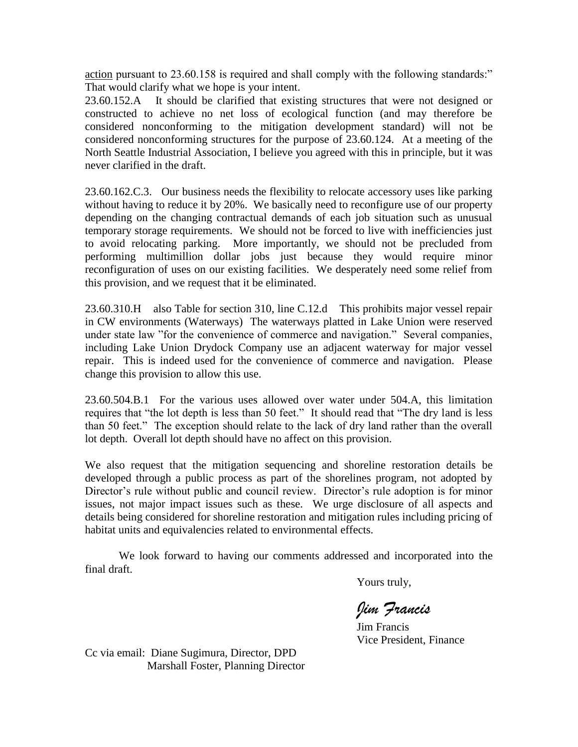action pursuant to 23.60.158 is required and shall comply with the following standards:" That would clarify what we hope is your intent.

23.60.152.A It should be clarified that existing structures that were not designed or constructed to achieve no net loss of ecological function (and may therefore be considered nonconforming to the mitigation development standard) will not be considered nonconforming structures for the purpose of 23.60.124. At a meeting of the North Seattle Industrial Association, I believe you agreed with this in principle, but it was never clarified in the draft.

23.60.162.C.3. Our business needs the flexibility to relocate accessory uses like parking without having to reduce it by 20%. We basically need to reconfigure use of our property depending on the changing contractual demands of each job situation such as unusual temporary storage requirements. We should not be forced to live with inefficiencies just to avoid relocating parking. More importantly, we should not be precluded from performing multimillion dollar jobs just because they would require minor reconfiguration of uses on our existing facilities. We desperately need some relief from this provision, and we request that it be eliminated.

23.60.310.H also Table for section 310, line C.12.d This prohibits major vessel repair in CW environments (Waterways) The waterways platted in Lake Union were reserved under state law "for the convenience of commerce and navigation." Several companies, including Lake Union Drydock Company use an adjacent waterway for major vessel repair. This is indeed used for the convenience of commerce and navigation. Please change this provision to allow this use.

23.60.504.B.1 For the various uses allowed over water under 504.A, this limitation requires that "the lot depth is less than 50 feet." It should read that "The dry land is less than 50 feet." The exception should relate to the lack of dry land rather than the overall lot depth. Overall lot depth should have no affect on this provision.

We also request that the mitigation sequencing and shoreline restoration details be developed through a public process as part of the shorelines program, not adopted by Director's rule without public and council review. Director's rule adoption is for minor issues, not major impact issues such as these. We urge disclosure of all aspects and details being considered for shoreline restoration and mitigation rules including pricing of habitat units and equivalencies related to environmental effects.

We look forward to having our comments addressed and incorporated into the final draft.

Yours truly,

*Jim Francis*

Jim Francis Vice President, Finance

Cc via email: Diane Sugimura, Director, DPD Marshall Foster, Planning Director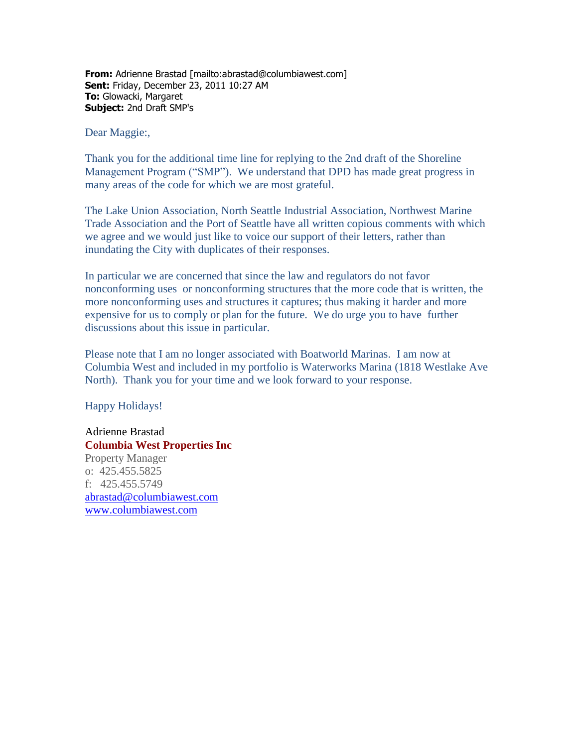**From:** Adrienne Brastad [mailto:abrastad@columbiawest.com] **Sent:** Friday, December 23, 2011 10:27 AM **To:** Glowacki, Margaret **Subject:** 2nd Draft SMP's

Dear Maggie:,

Thank you for the additional time line for replying to the 2nd draft of the Shoreline Management Program ("SMP"). We understand that DPD has made great progress in many areas of the code for which we are most grateful.

The Lake Union Association, North Seattle Industrial Association, Northwest Marine Trade Association and the Port of Seattle have all written copious comments with which we agree and we would just like to voice our support of their letters, rather than inundating the City with duplicates of their responses.

In particular we are concerned that since the law and regulators do not favor nonconforming uses or nonconforming structures that the more code that is written, the more nonconforming uses and structures it captures; thus making it harder and more expensive for us to comply or plan for the future. We do urge you to have further discussions about this issue in particular.

Please note that I am no longer associated with Boatworld Marinas. I am now at Columbia West and included in my portfolio is Waterworks Marina (1818 Westlake Ave North). Thank you for your time and we look forward to your response.

Happy Holidays!

Adrienne Brastad **Columbia West Properties Inc** Property Manager o: 425.455.5825 f: 425.455.5749 [abrastad@columbiawest.com](mailto:abrastad@columbiawest.com) [www.columbiawest.com](file://DPDNW01/V1/DATA/Planning/Shoreline%20Master%20Program/Final%20Draft/Second%20draft/Comments/From%20E_mail%202012/www.columbiawest.com)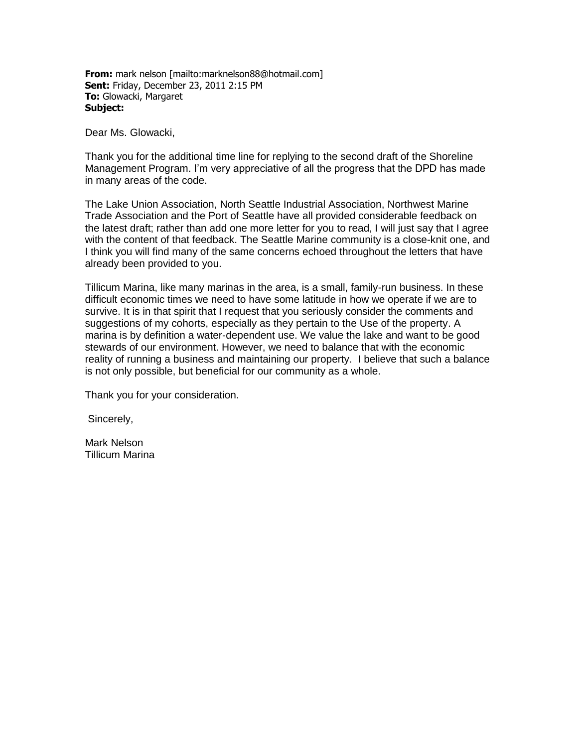**From:** mark nelson [mailto:marknelson88@hotmail.com] **Sent:** Friday, December 23, 2011 2:15 PM **To:** Glowacki, Margaret **Subject:**

Dear Ms. Glowacki,

Thank you for the additional time line for replying to the second draft of the Shoreline Management Program. I'm very appreciative of all the progress that the DPD has made in many areas of the code.

The Lake Union Association, North Seattle Industrial Association, Northwest Marine Trade Association and the Port of Seattle have all provided considerable feedback on the latest draft; rather than add one more letter for you to read, I will just say that I agree with the content of that feedback. The Seattle Marine community is a close-knit one, and I think you will find many of the same concerns echoed throughout the letters that have already been provided to you.

Tillicum Marina, like many marinas in the area, is a small, family-run business. In these difficult economic times we need to have some latitude in how we operate if we are to survive. It is in that spirit that I request that you seriously consider the comments and suggestions of my cohorts, especially as they pertain to the Use of the property. A marina is by definition a water-dependent use. We value the lake and want to be good stewards of our environment. However, we need to balance that with the economic reality of running a business and maintaining our property. I believe that such a balance is not only possible, but beneficial for our community as a whole.

Thank you for your consideration.

Sincerely,

Mark Nelson Tillicum Marina